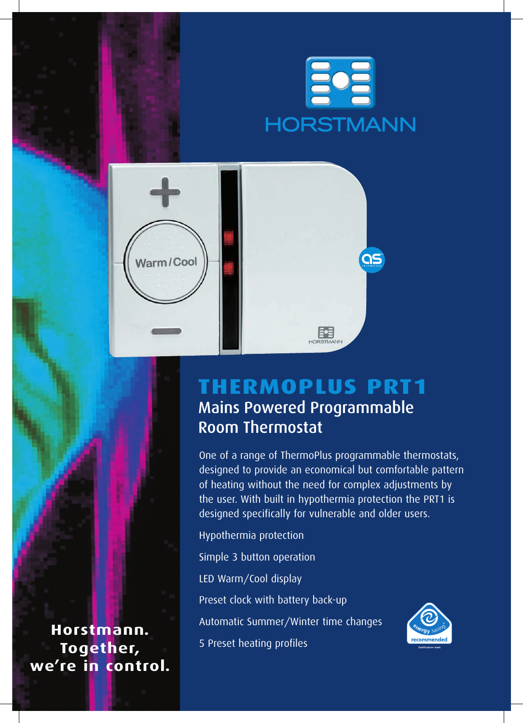

**QS** 





≣•≣

One of a range of ThermoPlus programmable thermostats, designed to provide an economical but comfortable pattern of heating without the need for complex adjustments by the user. With built in hypothermia protection the PRT1 is designed specifically for vulnerable and older users.

Hypothermia protection Simple 3 button operation LED Warm/Cool display Preset clock with battery back-up Automatic Summer/Winter time changes 5 Preset heating profiles



**Horstmann. Together, we're in control.**